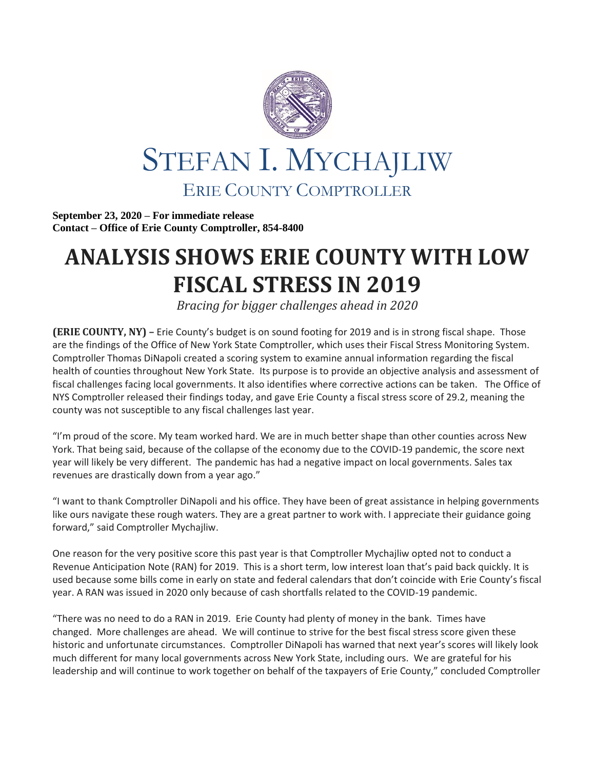

**September 23, 2020 – For immediate release Contact – Office of Erie County Comptroller, 854-8400**

## **ANALYSIS SHOWS ERIE COUNTY WITH LOW FISCAL STRESS IN 2019**

*Bracing for bigger challenges ahead in 2020*

**(ERIE COUNTY, NY) –** Erie County's budget is on sound footing for 2019 and is in strong fiscal shape. Those are the findings of the Office of New York State Comptroller, which uses their Fiscal Stress Monitoring System. Comptroller Thomas DiNapoli created a scoring system to examine annual information regarding the fiscal health of counties throughout New York State. Its purpose is to provide an objective analysis and assessment of fiscal challenges facing local governments. It also identifies where corrective actions can be taken. The Office of NYS Comptroller released their findings today, and gave Erie County a fiscal stress score of 29.2, meaning the county was not susceptible to any fiscal challenges last year.

"I'm proud of the score. My team worked hard. We are in much better shape than other counties across New York. That being said, because of the collapse of the economy due to the COVID-19 pandemic, the score next year will likely be very different. The pandemic has had a negative impact on local governments. Sales tax revenues are drastically down from a year ago."

"I want to thank Comptroller DiNapoli and his office. They have been of great assistance in helping governments like ours navigate these rough waters. They are a great partner to work with. I appreciate their guidance going forward," said Comptroller Mychajliw.

One reason for the very positive score this past year is that Comptroller Mychajliw opted not to conduct a Revenue Anticipation Note (RAN) for 2019. This is a short term, low interest loan that's paid back quickly. It is used because some bills come in early on state and federal calendars that don't coincide with Erie County's fiscal year. A RAN was issued in 2020 only because of cash shortfalls related to the COVID-19 pandemic.

"There was no need to do a RAN in 2019. Erie County had plenty of money in the bank. Times have changed. More challenges are ahead. We will continue to strive for the best fiscal stress score given these historic and unfortunate circumstances. Comptroller DiNapoli has warned that next year's scores will likely look much different for many local governments across New York State, including ours. We are grateful for his leadership and will continue to work together on behalf of the taxpayers of Erie County," concluded Comptroller